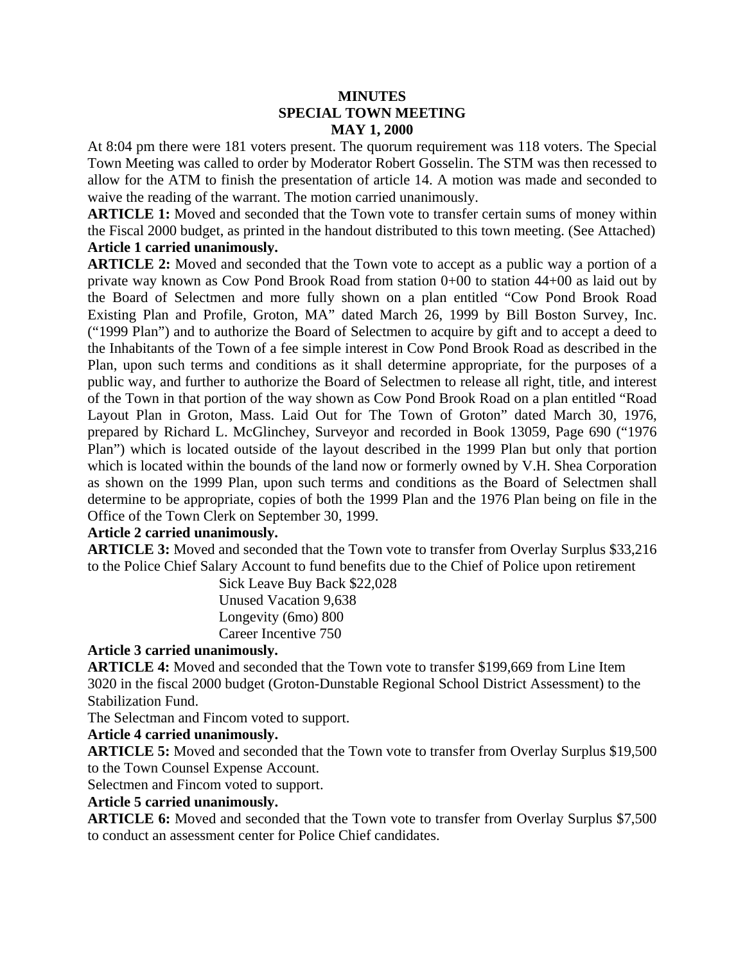## **MINUTES SPECIAL TOWN MEETING MAY 1, 2000**

At 8:04 pm there were 181 voters present. The quorum requirement was 118 voters. The Special Town Meeting was called to order by Moderator Robert Gosselin. The STM was then recessed to allow for the ATM to finish the presentation of article 14. A motion was made and seconded to waive the reading of the warrant. The motion carried unanimously.

**ARTICLE 1:** Moved and seconded that the Town vote to transfer certain sums of money within the Fiscal 2000 budget, as printed in the handout distributed to this town meeting. (See Attached) **Article 1 carried unanimously.**

**ARTICLE 2:** Moved and seconded that the Town vote to accept as a public way a portion of a private way known as Cow Pond Brook Road from station 0+00 to station 44+00 as laid out by the Board of Selectmen and more fully shown on a plan entitled "Cow Pond Brook Road Existing Plan and Profile, Groton, MA" dated March 26, 1999 by Bill Boston Survey, Inc. ("1999 Plan") and to authorize the Board of Selectmen to acquire by gift and to accept a deed to the Inhabitants of the Town of a fee simple interest in Cow Pond Brook Road as described in the Plan, upon such terms and conditions as it shall determine appropriate, for the purposes of a public way, and further to authorize the Board of Selectmen to release all right, title, and interest of the Town in that portion of the way shown as Cow Pond Brook Road on a plan entitled "Road Layout Plan in Groton, Mass. Laid Out for The Town of Groton" dated March 30, 1976, prepared by Richard L. McGlinchey, Surveyor and recorded in Book 13059, Page 690 ("1976 Plan") which is located outside of the layout described in the 1999 Plan but only that portion which is located within the bounds of the land now or formerly owned by V.H. Shea Corporation as shown on the 1999 Plan, upon such terms and conditions as the Board of Selectmen shall determine to be appropriate, copies of both the 1999 Plan and the 1976 Plan being on file in the Office of the Town Clerk on September 30, 1999.

## **Article 2 carried unanimously.**

**ARTICLE 3:** Moved and seconded that the Town vote to transfer from Overlay Surplus \$33,216 to the Police Chief Salary Account to fund benefits due to the Chief of Police upon retirement

Sick Leave Buy Back \$22,028 Unused Vacation 9,638 Longevity (6mo) 800 Career Incentive 750

## **Article 3 carried unanimously.**

**ARTICLE 4:** Moved and seconded that the Town vote to transfer \$199,669 from Line Item 3020 in the fiscal 2000 budget (Groton-Dunstable Regional School District Assessment) to the Stabilization Fund.

The Selectman and Fincom voted to support.

**Article 4 carried unanimously.**

**ARTICLE 5:** Moved and seconded that the Town vote to transfer from Overlay Surplus \$19,500 to the Town Counsel Expense Account.

Selectmen and Fincom voted to support.

# **Article 5 carried unanimously.**

**ARTICLE 6:** Moved and seconded that the Town vote to transfer from Overlay Surplus \$7,500 to conduct an assessment center for Police Chief candidates.